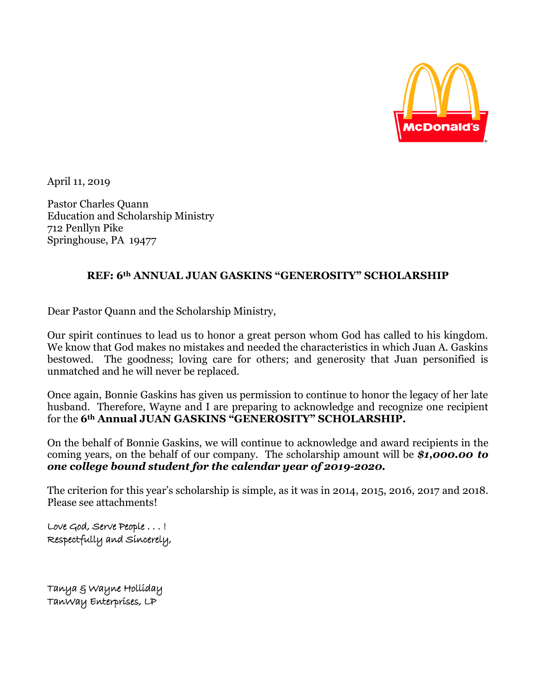

April 11, 2019

Pastor Charles Quann Education and Scholarship Ministry 712 Penllyn Pike Springhouse, PA 19477

#### **REF: 6th ANNUAL JUAN GASKINS "GENEROSITY" SCHOLARSHIP**

Dear Pastor Quann and the Scholarship Ministry,

Our spirit continues to lead us to honor a great person whom God has called to his kingdom. We know that God makes no mistakes and needed the characteristics in which Juan A. Gaskins bestowed. The goodness; loving care for others; and generosity that Juan personified is unmatched and he will never be replaced.

Once again, Bonnie Gaskins has given us permission to continue to honor the legacy of her late husband. Therefore, Wayne and I are preparing to acknowledge and recognize one recipient for the **6th Annual JUAN GASKINS "GENEROSITY" SCHOLARSHIP.**

On the behalf of Bonnie Gaskins, we will continue to acknowledge and award recipients in the coming years, on the behalf of our company. The scholarship amount will be *\$1,000.00 to one college bound student for the calendar year of 2019-2020.*

The criterion for this year's scholarship is simple, as it was in 2014, 2015, 2016, 2017 and 2018. Please see attachments!

Love God, Serve People . . . ! Respectfully and Sincerely,

Tanya & Wayne Holliday TanWay Enterprises, LP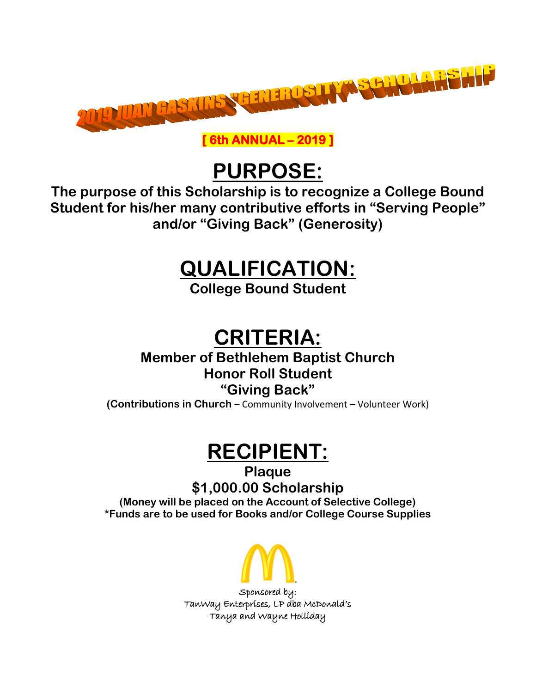

**[ 6th ANNUAL – 2019 ]** 

# **PURPOSE:**

**The purpose of this Scholarship is to recognize a College Bound Student for his/her many contributive efforts in "Serving People" and/or "Giving Back" (Generosity)**

### **QUALIFICATION:**

**College Bound Student**

# **CRITERIA:**

**Member of Bethlehem Baptist Church Honor Roll Student**

#### **"Giving Back"**

**(Contributions in Church** – Community Involvement – Volunteer Work)

# **RECIPIENT:**

**Plaque \$1,000.00 Scholarship**

**(Money will be placed on the Account of Selective College) \*Funds are to be used for Books and/or College Course Supplies**